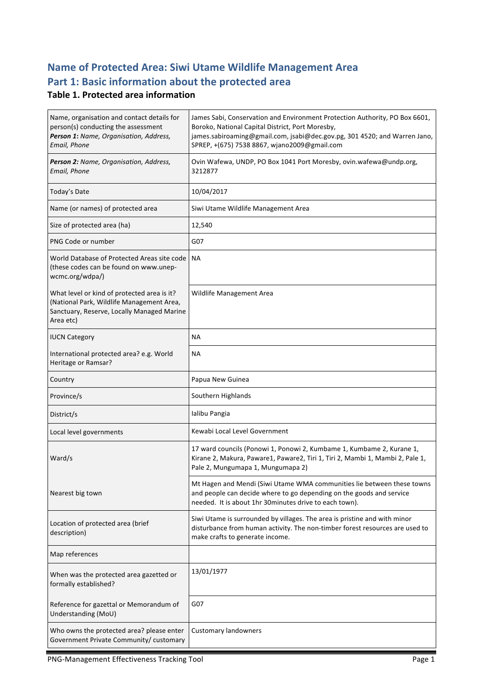# **Name of Protected Area: Siwi Utame Wildlife Management Area** Part 1: Basic information about the protected area

#### **Table 1. Protected area information**

| Name, organisation and contact details for<br>person(s) conducting the assessment<br>Person 1: Name, Organisation, Address,<br>Email, Phone         | James Sabi, Conservation and Environment Protection Authority, PO Box 6601,<br>Boroko, National Capital District, Port Moresby,<br>james.sabiroaming@gmail.com, jsabi@dec.gov.pg, 301 4520; and Warren Jano,<br>SPREP, +(675) 7538 8867, wjano2009@gmail.com |
|-----------------------------------------------------------------------------------------------------------------------------------------------------|--------------------------------------------------------------------------------------------------------------------------------------------------------------------------------------------------------------------------------------------------------------|
| Person 2: Name, Organisation, Address,<br>Email, Phone                                                                                              | Ovin Wafewa, UNDP, PO Box 1041 Port Moresby, ovin.wafewa@undp.org,<br>3212877                                                                                                                                                                                |
| Today's Date                                                                                                                                        | 10/04/2017                                                                                                                                                                                                                                                   |
| Name (or names) of protected area                                                                                                                   | Siwi Utame Wildlife Management Area                                                                                                                                                                                                                          |
| Size of protected area (ha)                                                                                                                         | 12,540                                                                                                                                                                                                                                                       |
| PNG Code or number                                                                                                                                  | G07                                                                                                                                                                                                                                                          |
| World Database of Protected Areas site code   NA<br>(these codes can be found on www.unep-<br>wcmc.org/wdpa/)                                       |                                                                                                                                                                                                                                                              |
| What level or kind of protected area is it?<br>(National Park, Wildlife Management Area,<br>Sanctuary, Reserve, Locally Managed Marine<br>Area etc) | Wildlife Management Area                                                                                                                                                                                                                                     |
| <b>IUCN Category</b>                                                                                                                                | <b>NA</b>                                                                                                                                                                                                                                                    |
| International protected area? e.g. World<br>Heritage or Ramsar?                                                                                     | NА                                                                                                                                                                                                                                                           |
| Country                                                                                                                                             | Papua New Guinea                                                                                                                                                                                                                                             |
| Province/s                                                                                                                                          | Southern Highlands                                                                                                                                                                                                                                           |
| District/s                                                                                                                                          | Ialibu Pangia                                                                                                                                                                                                                                                |
| Local level governments                                                                                                                             | Kewabi Local Level Government                                                                                                                                                                                                                                |
| Ward/s                                                                                                                                              | 17 ward councils (Ponowi 1, Ponowi 2, Kumbame 1, Kumbame 2, Kurane 1,<br>Kirane 2, Makura, Paware1, Paware2, Tiri 1, Tiri 2, Mambi 1, Mambi 2, Pale 1,<br>Pale 2, Mungumapa 1, Mungumapa 2)                                                                  |
| Nearest big town                                                                                                                                    | Mt Hagen and Mendi (Siwi Utame WMA communities lie between these towns<br>and people can decide where to go depending on the goods and service<br>needed. It is about 1hr 30minutes drive to each town).                                                     |
| Location of protected area (brief<br>description)                                                                                                   | Siwi Utame is surrounded by villages. The area is pristine and with minor<br>disturbance from human activity. The non-timber forest resources are used to<br>make crafts to generate income.                                                                 |
| Map references                                                                                                                                      |                                                                                                                                                                                                                                                              |
| When was the protected area gazetted or<br>formally established?                                                                                    | 13/01/1977                                                                                                                                                                                                                                                   |
| Reference for gazettal or Memorandum of<br>Understanding (MoU)                                                                                      | G07                                                                                                                                                                                                                                                          |
| Who owns the protected area? please enter<br>Government Private Community/ customary                                                                | <b>Customary landowners</b>                                                                                                                                                                                                                                  |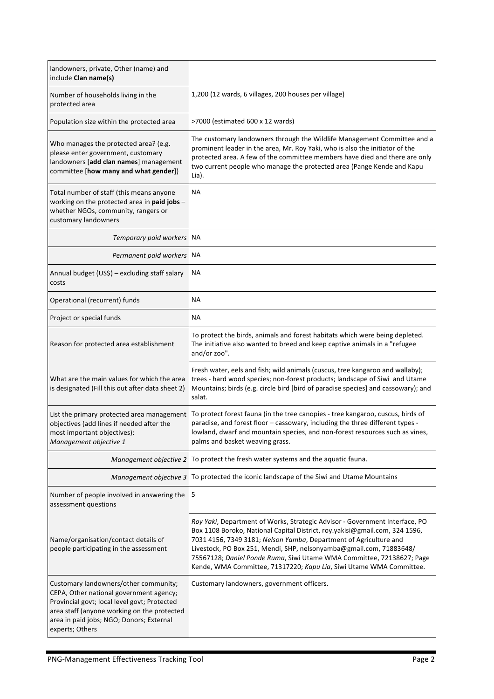| landowners, private, Other (name) and<br>include Clan name(s)                                                                                                                                                                                  |                                                                                                                                                                                                                                                                                                                                                                                                                                                        |
|------------------------------------------------------------------------------------------------------------------------------------------------------------------------------------------------------------------------------------------------|--------------------------------------------------------------------------------------------------------------------------------------------------------------------------------------------------------------------------------------------------------------------------------------------------------------------------------------------------------------------------------------------------------------------------------------------------------|
| Number of households living in the<br>protected area                                                                                                                                                                                           | 1,200 (12 wards, 6 villages, 200 houses per village)                                                                                                                                                                                                                                                                                                                                                                                                   |
| Population size within the protected area                                                                                                                                                                                                      | >7000 (estimated 600 x 12 wards)                                                                                                                                                                                                                                                                                                                                                                                                                       |
| Who manages the protected area? (e.g.<br>please enter government, customary<br>landowners [add clan names] management<br>committee [how many and what gender])                                                                                 | The customary landowners through the Wildlife Management Committee and a<br>prominent leader in the area, Mr. Roy Yaki, who is also the initiator of the<br>protected area. A few of the committee members have died and there are only<br>two current people who manage the protected area (Pange Kende and Kapu<br>Lia).                                                                                                                             |
| Total number of staff (this means anyone<br>working on the protected area in paid jobs -<br>whether NGOs, community, rangers or<br>customary landowners                                                                                        | NА                                                                                                                                                                                                                                                                                                                                                                                                                                                     |
| Temporary paid workers                                                                                                                                                                                                                         | NA                                                                                                                                                                                                                                                                                                                                                                                                                                                     |
| Permanent paid workers                                                                                                                                                                                                                         | ΝA                                                                                                                                                                                                                                                                                                                                                                                                                                                     |
| Annual budget (US\$) - excluding staff salary<br>costs                                                                                                                                                                                         | NА                                                                                                                                                                                                                                                                                                                                                                                                                                                     |
| Operational (recurrent) funds                                                                                                                                                                                                                  | ΝA                                                                                                                                                                                                                                                                                                                                                                                                                                                     |
| Project or special funds                                                                                                                                                                                                                       | ΝA                                                                                                                                                                                                                                                                                                                                                                                                                                                     |
| Reason for protected area establishment                                                                                                                                                                                                        | To protect the birds, animals and forest habitats which were being depleted.<br>The initiative also wanted to breed and keep captive animals in a "refugee<br>and/or zoo".                                                                                                                                                                                                                                                                             |
| What are the main values for which the area<br>is designated (Fill this out after data sheet 2)                                                                                                                                                | Fresh water, eels and fish; wild animals (cuscus, tree kangaroo and wallaby);<br>trees - hard wood species; non-forest products; landscape of Siwi and Utame<br>Mountains; birds (e.g. circle bird [bird of paradise species] and cassowary); and<br>salat.                                                                                                                                                                                            |
| List the primary protected area management<br>objectives (add lines if needed after the<br>most important objectives):<br>Management objective 1                                                                                               | To protect forest fauna (in the tree canopies - tree kangaroo, cuscus, birds of<br>paradise, and forest floor - cassowary, including the three different types -<br>lowland, dwarf and mountain species, and non-forest resources such as vines,<br>palms and basket weaving grass.                                                                                                                                                                    |
| Management objective 2                                                                                                                                                                                                                         | To protect the fresh water systems and the aquatic fauna.                                                                                                                                                                                                                                                                                                                                                                                              |
| Management objective 3                                                                                                                                                                                                                         | To protected the iconic landscape of the Siwi and Utame Mountains                                                                                                                                                                                                                                                                                                                                                                                      |
| Number of people involved in answering the<br>assessment questions                                                                                                                                                                             | 5                                                                                                                                                                                                                                                                                                                                                                                                                                                      |
| Name/organisation/contact details of<br>people participating in the assessment                                                                                                                                                                 | Roy Yaki, Department of Works, Strategic Advisor - Government Interface, PO<br>Box 1108 Boroko, National Capital District, roy.yakisi@gmail.com, 324 1596,<br>7031 4156, 7349 3181; Nelson Yamba, Department of Agriculture and<br>Livestock, PO Box 251, Mendi, SHP, nelsonyamba@gmail.com, 71883648/<br>75567128; Daniel Ponde Ruma, Siwi Utame WMA Committee, 72138627; Page<br>Kende, WMA Committee, 71317220; Kapu Lia, Siwi Utame WMA Committee. |
| Customary landowners/other community;<br>CEPA, Other national government agency;<br>Provincial govt; local level govt; Protected<br>area staff (anyone working on the protected<br>area in paid jobs; NGO; Donors; External<br>experts; Others | Customary landowners, government officers.                                                                                                                                                                                                                                                                                                                                                                                                             |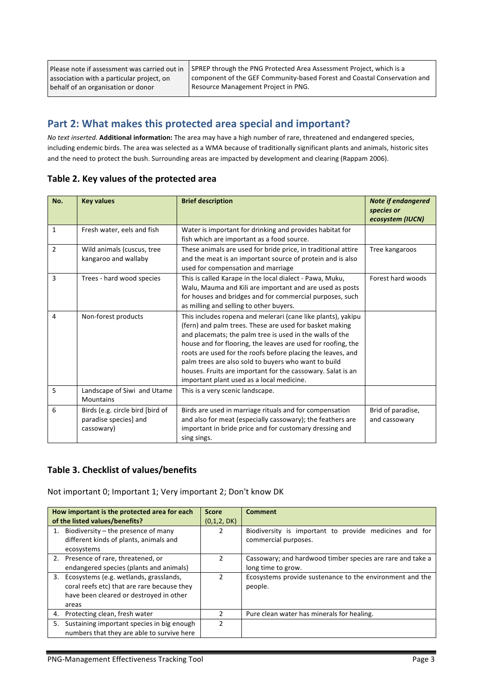Please note if assessment was carried out in association with a particular project, on behalf of an organisation or donor

SPREP through the PNG Protected Area Assessment Project, which is a component of the GEF Community-based Forest and Coastal Conservation and Resource Management Project in PNG.

## Part 2: What makes this protected area special and important?

*No text inserted.* Additional information: The area may have a high number of rare, threatened and endangered species, including endemic birds. The area was selected as a WMA because of traditionally significant plants and animals, historic sites and the need to protect the bush. Surrounding areas are impacted by development and clearing (Rappam 2006).

| No.            | <b>Key values</b>                                                       | <b>Brief description</b>                                                                                                                                                                                                                                                                                                                                                                                                                                                               | <b>Note if endangered</b><br>species or<br>ecosystem (IUCN) |
|----------------|-------------------------------------------------------------------------|----------------------------------------------------------------------------------------------------------------------------------------------------------------------------------------------------------------------------------------------------------------------------------------------------------------------------------------------------------------------------------------------------------------------------------------------------------------------------------------|-------------------------------------------------------------|
| $\mathbf{1}$   | Fresh water, eels and fish                                              | Water is important for drinking and provides habitat for<br>fish which are important as a food source.                                                                                                                                                                                                                                                                                                                                                                                 |                                                             |
| $\overline{2}$ | Wild animals (cuscus, tree<br>kangaroo and wallaby                      | These animals are used for bride price, in traditional attire<br>and the meat is an important source of protein and is also<br>used for compensation and marriage                                                                                                                                                                                                                                                                                                                      | Tree kangaroos                                              |
| 3              | Trees - hard wood species                                               | This is called Karape in the local dialect - Pawa, Muku,<br>Walu, Mauma and Kili are important and are used as posts<br>for houses and bridges and for commercial purposes, such<br>as milling and selling to other buyers.                                                                                                                                                                                                                                                            | Forest hard woods                                           |
| 4              | Non-forest products                                                     | This includes ropena and melerari (cane like plants), yakipu<br>(fern) and palm trees. These are used for basket making<br>and placemats; the palm tree is used in the walls of the<br>house and for flooring, the leaves are used for roofing, the<br>roots are used for the roofs before placing the leaves, and<br>palm trees are also sold to buyers who want to build<br>houses. Fruits are important for the cassowary. Salat is an<br>important plant used as a local medicine. |                                                             |
| 5              | Landscape of Siwi and Utame<br>Mountains                                | This is a very scenic landscape.                                                                                                                                                                                                                                                                                                                                                                                                                                                       |                                                             |
| 6              | Birds (e.g. circle bird [bird of<br>paradise species] and<br>cassowary) | Birds are used in marriage rituals and for compensation<br>and also for meat (especially cassowary); the feathers are<br>important in bride price and for customary dressing and<br>sing sings.                                                                                                                                                                                                                                                                                        | Brid of paradise,<br>and cassowary                          |

#### Table 2. Key values of the protected area

#### **Table 3. Checklist of values/benefits**

Not important 0; Important 1; Very important 2; Don't know DK

|    | How important is the protected area for each<br>of the listed values/benefits?                                                               | <b>Score</b><br>(0,1,2, DK) | <b>Comment</b>                                                                   |
|----|----------------------------------------------------------------------------------------------------------------------------------------------|-----------------------------|----------------------------------------------------------------------------------|
|    | 1. Biodiversity $-$ the presence of many<br>different kinds of plants, animals and<br>ecosystems                                             |                             | Biodiversity is important to provide medicines and for<br>commercial purposes.   |
|    | 2. Presence of rare, threatened, or<br>endangered species (plants and animals)                                                               |                             | Cassowary; and hardwood timber species are rare and take a<br>long time to grow. |
|    | 3. Ecosystems (e.g. wetlands, grasslands,<br>coral reefs etc) that are rare because they<br>have been cleared or destroyed in other<br>areas |                             | Ecosystems provide sustenance to the environment and the<br>people.              |
| 4. | Protecting clean, fresh water                                                                                                                |                             | Pure clean water has minerals for healing.                                       |
| 5. | Sustaining important species in big enough<br>numbers that they are able to survive here                                                     | 2                           |                                                                                  |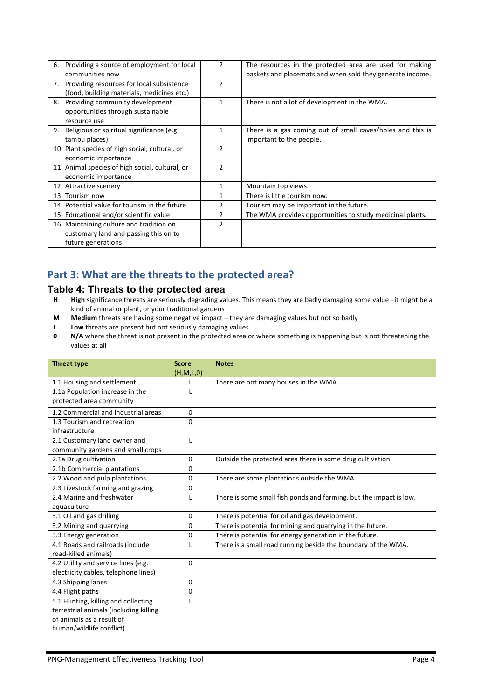| 6. Providing a source of employment for local   | $\overline{2}$ | The resources in the protected area are used for making    |
|-------------------------------------------------|----------------|------------------------------------------------------------|
| communities now                                 |                | baskets and placemats and when sold they generate income.  |
| 7. Providing resources for local subsistence    | $\mathfrak{p}$ |                                                            |
| (food, building materials, medicines etc.)      |                |                                                            |
| Providing community development<br>8.           | 1              | There is not a lot of development in the WMA.              |
| opportunities through sustainable               |                |                                                            |
| resource use                                    |                |                                                            |
| 9. Religious or spiritual significance (e.g.    |                | There is a gas coming out of small caves/holes and this is |
| tambu places)                                   |                | important to the people.                                   |
| 10. Plant species of high social, cultural, or  | $\overline{2}$ |                                                            |
| economic importance                             |                |                                                            |
| 11. Animal species of high social, cultural, or | $\mathfrak{p}$ |                                                            |
| economic importance                             |                |                                                            |
| 12. Attractive scenery                          | 1              | Mountain top views.                                        |
| 13. Tourism now                                 |                | There is little tourism now.                               |
| 14. Potential value for tourism in the future   | 2              | Tourism may be important in the future.                    |
| 15. Educational and/or scientific value         | 2              | The WMA provides opportunities to study medicinal plants.  |
| 16. Maintaining culture and tradition on        | $\mathfrak{p}$ |                                                            |
| customary land and passing this on to           |                |                                                            |
| future generations                              |                |                                                            |

# Part 3: What are the threats to the protected area?

#### **Table 4: Threats to the protected area**

- H High significance threats are seriously degrading values. This means they are badly damaging some value -it might be a kind of animal or plant, or your traditional gardens
- **M** Medium threats are having some negative impact they are damaging values but not so badly
- **L Low** threats are present but not seriously damaging values<br>**0 N/A** where the threat is not present in the protected area of
- **N/A** where the threat is not present in the protected area or where something is happening but is not threatening the values at all

| <b>Threat type</b>                     | <b>Score</b> | <b>Notes</b>                                                       |
|----------------------------------------|--------------|--------------------------------------------------------------------|
|                                        | (H, M, L, 0) |                                                                    |
| 1.1 Housing and settlement             | L            | There are not many houses in the WMA.                              |
| 1.1a Population increase in the        | L            |                                                                    |
| protected area community               |              |                                                                    |
| 1.2 Commercial and industrial areas    | $\mathbf{0}$ |                                                                    |
| 1.3 Tourism and recreation             | $\Omega$     |                                                                    |
| infrastructure                         |              |                                                                    |
| 2.1 Customary land owner and           | L            |                                                                    |
| community gardens and small crops      |              |                                                                    |
| 2.1a Drug cultivation                  | $\mathbf{0}$ | Outside the protected area there is some drug cultivation.         |
| 2.1b Commercial plantations            | 0            |                                                                    |
| 2.2 Wood and pulp plantations          | 0            | There are some plantations outside the WMA.                        |
| 2.3 Livestock farming and grazing      | 0            |                                                                    |
| 2.4 Marine and freshwater              | L            | There is some small fish ponds and farming, but the impact is low. |
| aquaculture                            |              |                                                                    |
| 3.1 Oil and gas drilling               | $\Omega$     | There is potential for oil and gas development.                    |
| 3.2 Mining and quarrying               | 0            | There is potential for mining and quarrying in the future.         |
| 3.3 Energy generation                  | 0            | There is potential for energy generation in the future.            |
| 4.1 Roads and railroads (include       | L            | There is a small road running beside the boundary of the WMA.      |
| road-killed animals)                   |              |                                                                    |
| 4.2 Utility and service lines (e.g.    | $\Omega$     |                                                                    |
| electricity cables, telephone lines)   |              |                                                                    |
| 4.3 Shipping lanes                     | 0            |                                                                    |
| 4.4 Flight paths                       | 0            |                                                                    |
| 5.1 Hunting, killing and collecting    | L            |                                                                    |
| terrestrial animals (including killing |              |                                                                    |
| of animals as a result of              |              |                                                                    |
| human/wildlife conflict)               |              |                                                                    |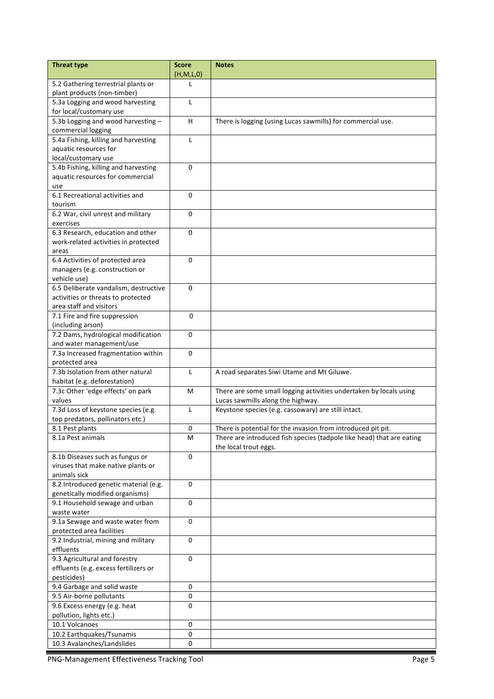| <b>Threat type</b>                                          | <b>Score</b><br>(H, M, L, 0) | <b>Notes</b>                                                          |
|-------------------------------------------------------------|------------------------------|-----------------------------------------------------------------------|
| 5.2 Gathering terrestrial plants or                         | L                            |                                                                       |
| plant products (non-timber)                                 |                              |                                                                       |
| 5.3a Logging and wood harvesting<br>for local/customary use | L                            |                                                                       |
| 5.3b Logging and wood harvesting -<br>commercial logging    | H                            | There is logging (using Lucas sawmills) for commercial use.           |
| 5.4a Fishing, killing and harvesting                        | $\mathsf{L}$                 |                                                                       |
| aquatic resources for                                       |                              |                                                                       |
| local/customary use                                         |                              |                                                                       |
| 5.4b Fishing, killing and harvesting                        | $\Omega$                     |                                                                       |
| aquatic resources for commercial                            |                              |                                                                       |
| use                                                         |                              |                                                                       |
| 6.1 Recreational activities and                             | 0                            |                                                                       |
| tourism                                                     |                              |                                                                       |
| 6.2 War, civil unrest and military                          | $\mathbf 0$                  |                                                                       |
| exercises                                                   |                              |                                                                       |
| 6.3 Research, education and other                           | $\Omega$                     |                                                                       |
| work-related activities in protected                        |                              |                                                                       |
| areas                                                       |                              |                                                                       |
| 6.4 Activities of protected area                            | 0                            |                                                                       |
| managers (e.g. construction or                              |                              |                                                                       |
| vehicle use)                                                |                              |                                                                       |
| 6.5 Deliberate vandalism, destructive                       | $\Omega$                     |                                                                       |
| activities or threats to protected                          |                              |                                                                       |
| area staff and visitors                                     |                              |                                                                       |
| $\overline{7.1}$ Fire and fire suppression                  | $\Omega$                     |                                                                       |
| (including arson)                                           |                              |                                                                       |
| 7.2 Dams, hydrological modification                         | 0                            |                                                                       |
| and water management/use                                    |                              |                                                                       |
| 7.3a Increased fragmentation within                         | $\mathbf 0$                  |                                                                       |
| protected area                                              |                              |                                                                       |
| 7.3b Isolation from other natural                           | L                            | A road separates Siwi Utame and Mt Giluwe.                            |
| habitat (e.g. deforestation)                                |                              |                                                                       |
| 7.3c Other 'edge effects' on park                           | м                            | There are some small logging activities undertaken by locals using    |
| values                                                      |                              | Lucas sawmills along the highway.                                     |
| 7.3d Loss of keystone species (e.g.                         | $\mathsf{L}$                 | Keystone species (e.g. cassowary) are still intact.                   |
| top predators, pollinators etc.)                            |                              |                                                                       |
| 8.1 Pest plants                                             | 0                            | There is potential for the invasion from introduced pit pit.          |
| 8.1a Pest animals                                           | М                            | There are introduced fish species (tadpole like head) that are eating |
|                                                             |                              | the local trout eggs.                                                 |
| 8.1b Diseases such as fungus or                             | 0                            |                                                                       |
| viruses that make native plants or                          |                              |                                                                       |
| animals sick                                                |                              |                                                                       |
| 8.2 Introduced genetic material (e.g.                       | 0                            |                                                                       |
| genetically modified organisms)                             |                              |                                                                       |
| 9.1 Household sewage and urban                              | 0                            |                                                                       |
| waste water                                                 |                              |                                                                       |
| 9.1a Sewage and waste water from                            | $\Omega$                     |                                                                       |
| protected area facilities                                   |                              |                                                                       |
| 9.2 Industrial, mining and military                         | 0                            |                                                                       |
| effluents                                                   |                              |                                                                       |
| 9.3 Agricultural and forestry                               | 0                            |                                                                       |
| effluents (e.g. excess fertilizers or                       |                              |                                                                       |
| pesticides)                                                 |                              |                                                                       |
| 9.4 Garbage and solid waste                                 | 0                            |                                                                       |
| 9.5 Air-borne pollutants                                    | 0                            |                                                                       |
| 9.6 Excess energy (e.g. heat                                | 0                            |                                                                       |
| pollution, lights etc.)                                     |                              |                                                                       |
| 10.1 Volcanoes                                              | 0                            |                                                                       |
| 10.2 Earthquakes/Tsunamis                                   | 0                            |                                                                       |
| 10.3 Avalanches/Landslides                                  | 0                            |                                                                       |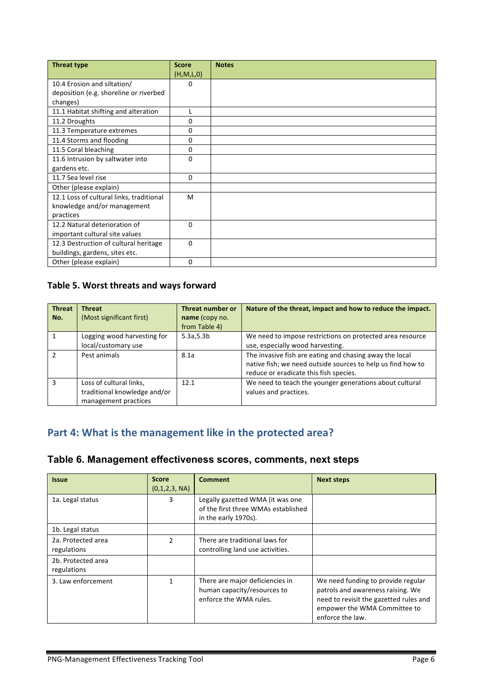| <b>Threat type</b>                       | <b>Score</b> | <b>Notes</b> |
|------------------------------------------|--------------|--------------|
|                                          | (H,M,L,0)    |              |
| 10.4 Erosion and siltation/              | 0            |              |
| deposition (e.g. shoreline or riverbed   |              |              |
| changes)                                 |              |              |
| 11.1 Habitat shifting and alteration     | L            |              |
| 11.2 Droughts                            | 0            |              |
| 11.3 Temperature extremes                | 0            |              |
| 11.4 Storms and flooding                 | 0            |              |
| 11.5 Coral bleaching                     | 0            |              |
| 11.6 Intrusion by saltwater into         | 0            |              |
| gardens etc.                             |              |              |
| 11.7 Sea level rise                      | $\mathbf{0}$ |              |
| Other (please explain)                   |              |              |
| 12.1 Loss of cultural links, traditional | M            |              |
| knowledge and/or management              |              |              |
| practices                                |              |              |
| 12.2 Natural deterioration of            | $\Omega$     |              |
| important cultural site values           |              |              |
| 12.3 Destruction of cultural heritage    | 0            |              |
| buildings, gardens, sites etc.           |              |              |
| Other (please explain)                   | $\Omega$     |              |

### Table 5. Worst threats and ways forward

| <b>Threat</b><br>No. | <b>Threat</b><br>(Most significant first)                                       | Threat number or<br>name (copy no.<br>from Table 4) | Nature of the threat, impact and how to reduce the impact.                                                                                                       |
|----------------------|---------------------------------------------------------------------------------|-----------------------------------------------------|------------------------------------------------------------------------------------------------------------------------------------------------------------------|
|                      | Logging wood harvesting for<br>local/customary use                              | 5.3a, 5.3b                                          | We need to impose restrictions on protected area resource<br>use, especially wood harvesting.                                                                    |
|                      | Pest animals                                                                    | 8.1a                                                | The invasive fish are eating and chasing away the local<br>native fish; we need outside sources to help us find how to<br>reduce or eradicate this fish species. |
| з                    | Loss of cultural links,<br>traditional knowledge and/or<br>management practices | 12.1                                                | We need to teach the younger generations about cultural<br>values and practices.                                                                                 |

# Part 4: What is the management like in the protected area?

|  |  |  | Table 6. Management effectiveness scores, comments, next steps |
|--|--|--|----------------------------------------------------------------|
|--|--|--|----------------------------------------------------------------|

| <b>Issue</b>                      | <b>Score</b><br>(0,1,2,3, NA) | <b>Comment</b>                                                                                  | <b>Next steps</b>                                                                                                                                                     |
|-----------------------------------|-------------------------------|-------------------------------------------------------------------------------------------------|-----------------------------------------------------------------------------------------------------------------------------------------------------------------------|
| 1a. Legal status                  | 3                             | Legally gazetted WMA (it was one<br>of the first three WMAs established<br>in the early 1970s). |                                                                                                                                                                       |
| 1b. Legal status                  |                               |                                                                                                 |                                                                                                                                                                       |
| 2a. Protected area<br>regulations | $\overline{2}$                | There are traditional laws for<br>controlling land use activities.                              |                                                                                                                                                                       |
| 2b. Protected area<br>regulations |                               |                                                                                                 |                                                                                                                                                                       |
| 3. Law enforcement                |                               | There are major deficiencies in<br>human capacity/resources to<br>enforce the WMA rules.        | We need funding to provide regular<br>patrols and awareness raising. We<br>need to revisit the gazetted rules and<br>empower the WMA Committee to<br>enforce the law. |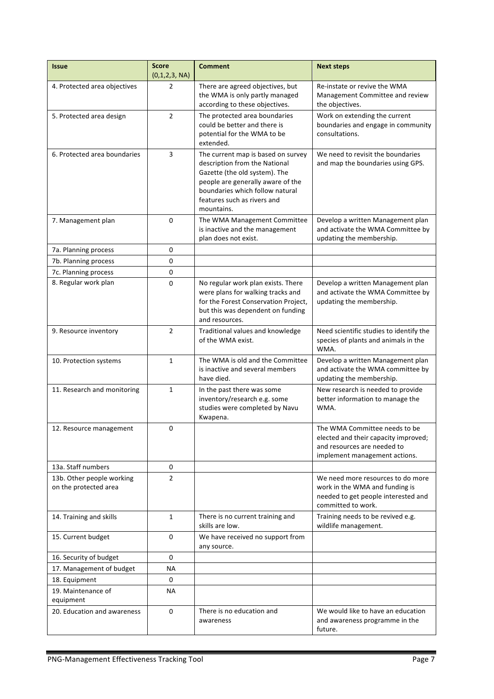| <b>Issue</b>                                       | <b>Score</b><br>(0,1,2,3, NA) | <b>Comment</b>                                                                                                                                                                                                            | <b>Next steps</b>                                                                                                                     |
|----------------------------------------------------|-------------------------------|---------------------------------------------------------------------------------------------------------------------------------------------------------------------------------------------------------------------------|---------------------------------------------------------------------------------------------------------------------------------------|
| 4. Protected area objectives                       | 2                             | There are agreed objectives, but<br>the WMA is only partly managed<br>according to these objectives.                                                                                                                      | Re-instate or revive the WMA<br>Management Committee and review<br>the objectives.                                                    |
| 5. Protected area design                           | $\overline{2}$                | The protected area boundaries<br>could be better and there is<br>potential for the WMA to be<br>extended.                                                                                                                 | Work on extending the current<br>boundaries and engage in community<br>consultations.                                                 |
| 6. Protected area boundaries                       | 3                             | The current map is based on survey<br>description from the National<br>Gazette (the old system). The<br>people are generally aware of the<br>boundaries which follow natural<br>features such as rivers and<br>mountains. | We need to revisit the boundaries<br>and map the boundaries using GPS.                                                                |
| 7. Management plan                                 | 0                             | The WMA Management Committee<br>is inactive and the management<br>plan does not exist.                                                                                                                                    | Develop a written Management plan<br>and activate the WMA Committee by<br>updating the membership.                                    |
| 7a. Planning process                               | 0                             |                                                                                                                                                                                                                           |                                                                                                                                       |
| 7b. Planning process                               | 0                             |                                                                                                                                                                                                                           |                                                                                                                                       |
| 7c. Planning process                               | 0                             |                                                                                                                                                                                                                           |                                                                                                                                       |
| 8. Regular work plan                               | 0                             | No regular work plan exists. There<br>were plans for walking tracks and<br>for the Forest Conservation Project,<br>but this was dependent on funding<br>and resources.                                                    | Develop a written Management plan<br>and activate the WMA Committee by<br>updating the membership.                                    |
| 9. Resource inventory                              | $\overline{2}$                | Traditional values and knowledge<br>of the WMA exist.                                                                                                                                                                     | Need scientific studies to identify the<br>species of plants and animals in the<br>WMA.                                               |
| 10. Protection systems                             | $\mathbf{1}$                  | The WMA is old and the Committee<br>is inactive and several members<br>have died.                                                                                                                                         | Develop a written Management plan<br>and activate the WMA committee by<br>updating the membership.                                    |
| 11. Research and monitoring                        | 1                             | In the past there was some<br>inventory/research e.g. some<br>studies were completed by Navu<br>Kwapena.                                                                                                                  | New research is needed to provide<br>better information to manage the<br>WMA.                                                         |
| 12. Resource management                            | 0                             |                                                                                                                                                                                                                           | The WMA Committee needs to be<br>elected and their capacity improved;<br>and resources are needed to<br>implement management actions. |
| 13a. Staff numbers                                 | 0                             |                                                                                                                                                                                                                           |                                                                                                                                       |
| 13b. Other people working<br>on the protected area | $\overline{2}$                |                                                                                                                                                                                                                           | We need more resources to do more<br>work in the WMA and funding is<br>needed to get people interested and<br>committed to work.      |
| 14. Training and skills                            | $\mathbf{1}$                  | There is no current training and<br>skills are low.                                                                                                                                                                       | Training needs to be revived e.g.<br>wildlife management.                                                                             |
| 15. Current budget                                 | 0                             | We have received no support from<br>any source.                                                                                                                                                                           |                                                                                                                                       |
| 16. Security of budget                             | 0                             |                                                                                                                                                                                                                           |                                                                                                                                       |
| 17. Management of budget                           | ΝA                            |                                                                                                                                                                                                                           |                                                                                                                                       |
| 18. Equipment                                      | 0                             |                                                                                                                                                                                                                           |                                                                                                                                       |
| 19. Maintenance of<br>equipment                    | ΝA                            |                                                                                                                                                                                                                           |                                                                                                                                       |
| 20. Education and awareness                        | 0                             | There is no education and<br>awareness                                                                                                                                                                                    | We would like to have an education<br>and awareness programme in the<br>future.                                                       |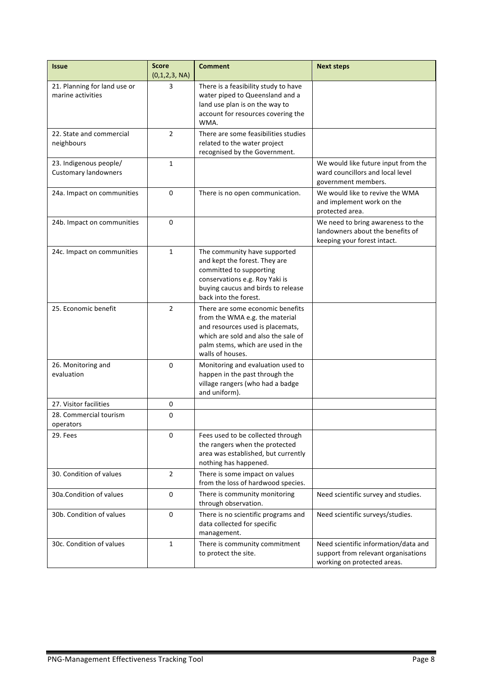| <b>Issue</b>                                          | <b>Score</b><br>(0,1,2,3, NA) | <b>Comment</b>                                                                                                                                                                                         | <b>Next steps</b>                                                                                          |
|-------------------------------------------------------|-------------------------------|--------------------------------------------------------------------------------------------------------------------------------------------------------------------------------------------------------|------------------------------------------------------------------------------------------------------------|
| 21. Planning for land use or<br>marine activities     | 3                             | There is a feasibility study to have<br>water piped to Queensland and a<br>land use plan is on the way to<br>account for resources covering the<br>WMA.                                                |                                                                                                            |
| 22. State and commercial<br>neighbours                | $\overline{2}$                | There are some feasibilities studies<br>related to the water project<br>recognised by the Government.                                                                                                  |                                                                                                            |
| 23. Indigenous people/<br><b>Customary landowners</b> | $\mathbf{1}$                  |                                                                                                                                                                                                        | We would like future input from the<br>ward councillors and local level<br>government members.             |
| 24a. Impact on communities                            | 0                             | We would like to revive the WMA<br>There is no open communication.<br>and implement work on the<br>protected area.                                                                                     |                                                                                                            |
| 24b. Impact on communities                            | $\Omega$                      |                                                                                                                                                                                                        | We need to bring awareness to the<br>landowners about the benefits of<br>keeping your forest intact.       |
| 24c. Impact on communities                            | $\mathbf{1}$                  | The community have supported<br>and kept the forest. They are<br>committed to supporting<br>conservations e.g. Roy Yaki is<br>buying caucus and birds to release<br>back into the forest.              |                                                                                                            |
| 25. Economic benefit                                  | $\overline{2}$                | There are some economic benefits<br>from the WMA e.g. the material<br>and resources used is placemats,<br>which are sold and also the sale of<br>palm stems, which are used in the<br>walls of houses. |                                                                                                            |
| 26. Monitoring and<br>evaluation                      | 0                             | Monitoring and evaluation used to<br>happen in the past through the<br>village rangers (who had a badge<br>and uniform).                                                                               |                                                                                                            |
| 27. Visitor facilities                                | 0                             |                                                                                                                                                                                                        |                                                                                                            |
| 28. Commercial tourism<br>operators                   | 0                             |                                                                                                                                                                                                        |                                                                                                            |
| 29. Fees                                              | $\pmb{0}$                     | Fees used to be collected through<br>the rangers when the protected<br>area was established, but currently<br>nothing has happened.                                                                    |                                                                                                            |
| 30. Condition of values                               | $\overline{2}$                | There is some impact on values<br>from the loss of hardwood species.                                                                                                                                   |                                                                                                            |
| 30a.Condition of values                               | 0                             | There is community monitoring<br>Need scientific survey and studies.<br>through observation.                                                                                                           |                                                                                                            |
| 30b. Condition of values                              | $\mathbf 0$                   | There is no scientific programs and<br>Need scientific surveys/studies.<br>data collected for specific<br>management.                                                                                  |                                                                                                            |
| 30c. Condition of values                              | $\mathbf{1}$                  | There is community commitment<br>to protect the site.                                                                                                                                                  | Need scientific information/data and<br>support from relevant organisations<br>working on protected areas. |